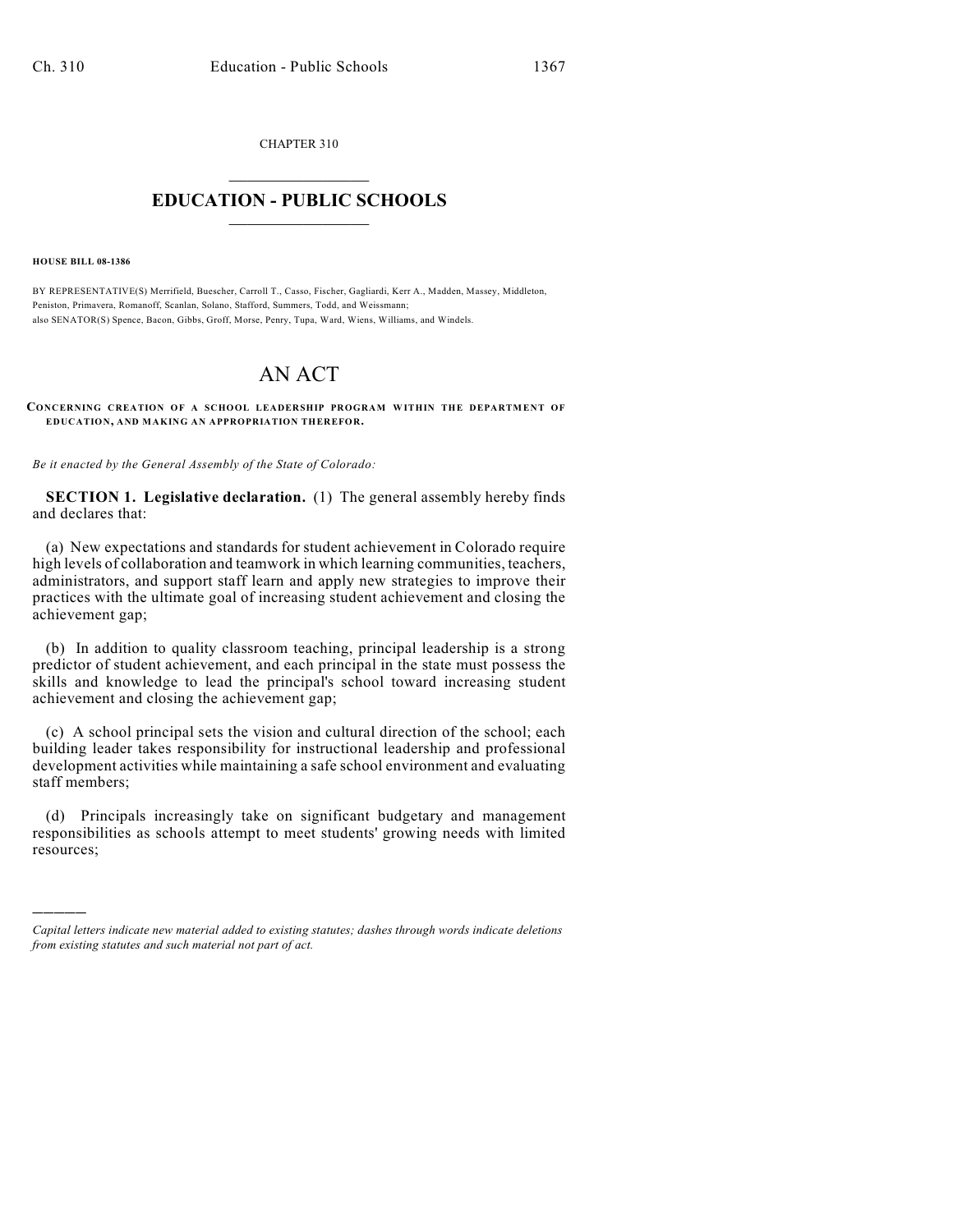CHAPTER 310  $\overline{\phantom{a}}$  . The set of the set of the set of the set of the set of the set of the set of the set of the set of the set of the set of the set of the set of the set of the set of the set of the set of the set of the set o

## **EDUCATION - PUBLIC SCHOOLS**  $\_$   $\_$   $\_$   $\_$   $\_$   $\_$   $\_$   $\_$   $\_$

**HOUSE BILL 08-1386**

)))))

BY REPRESENTATIVE(S) Merrifield, Buescher, Carroll T., Casso, Fischer, Gagliardi, Kerr A., Madden, Massey, Middleton, Peniston, Primavera, Romanoff, Scanlan, Solano, Stafford, Summers, Todd, and Weissmann; also SENATOR(S) Spence, Bacon, Gibbs, Groff, Morse, Penry, Tupa, Ward, Wiens, Williams, and Windels.

## AN ACT

**CONCERNING CREATION OF A SCHOOL LEADERSHIP PROGRAM WITHIN THE DEPARTMENT OF EDUCATION, AND MAKING AN APPROPRIATION THEREFOR.**

*Be it enacted by the General Assembly of the State of Colorado:*

**SECTION 1. Legislative declaration.** (1) The general assembly hereby finds and declares that:

(a) New expectations and standards for student achievement in Colorado require high levels of collaboration and teamwork in which learning communities, teachers, administrators, and support staff learn and apply new strategies to improve their practices with the ultimate goal of increasing student achievement and closing the achievement gap;

(b) In addition to quality classroom teaching, principal leadership is a strong predictor of student achievement, and each principal in the state must possess the skills and knowledge to lead the principal's school toward increasing student achievement and closing the achievement gap;

(c) A school principal sets the vision and cultural direction of the school; each building leader takes responsibility for instructional leadership and professional development activities while maintaining a safe school environment and evaluating staff members;

(d) Principals increasingly take on significant budgetary and management responsibilities as schools attempt to meet students' growing needs with limited resources;

*Capital letters indicate new material added to existing statutes; dashes through words indicate deletions from existing statutes and such material not part of act.*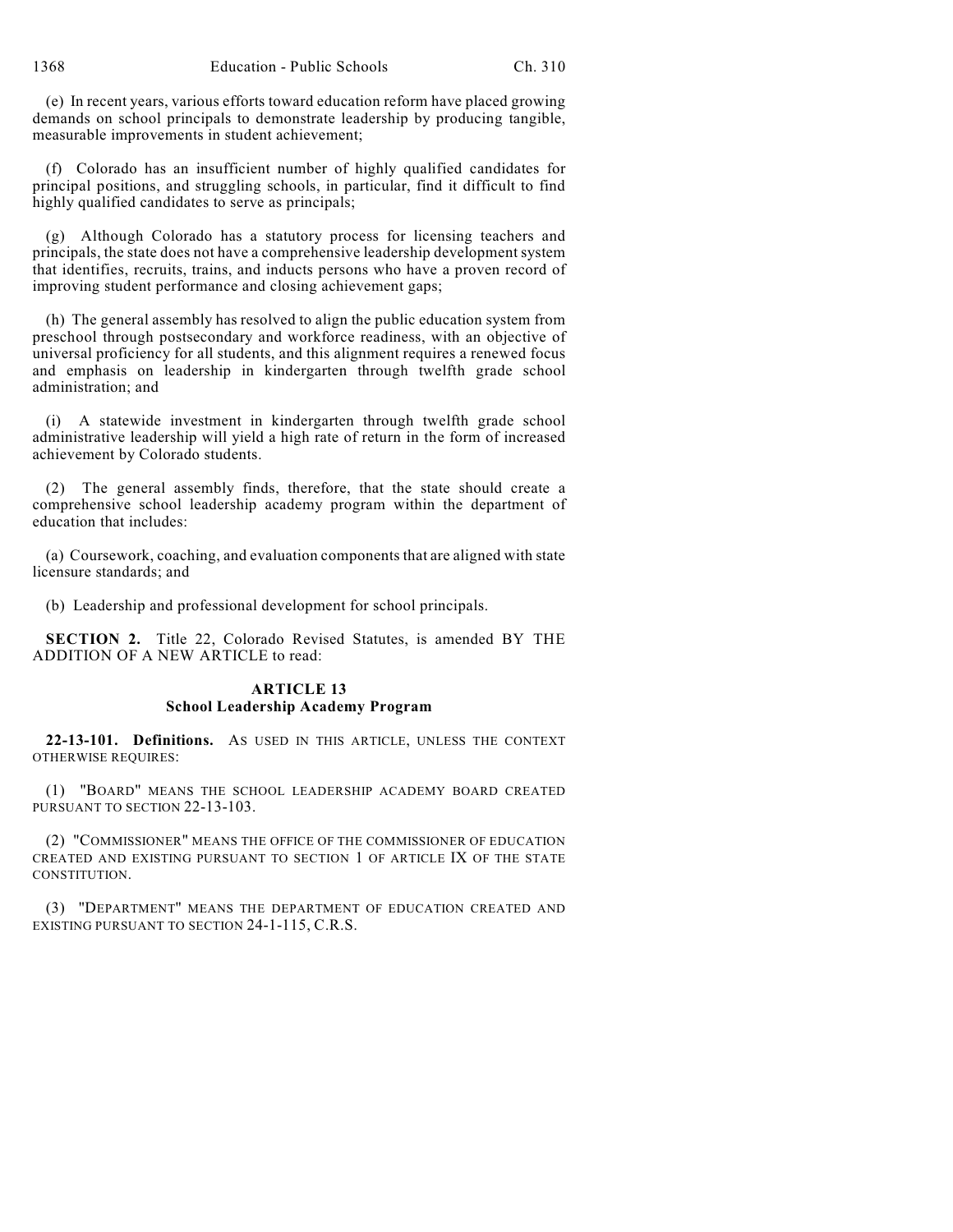(e) In recent years, various efforts toward education reform have placed growing demands on school principals to demonstrate leadership by producing tangible, measurable improvements in student achievement;

(f) Colorado has an insufficient number of highly qualified candidates for principal positions, and struggling schools, in particular, find it difficult to find highly qualified candidates to serve as principals;

(g) Although Colorado has a statutory process for licensing teachers and principals, the state does not have a comprehensive leadership development system that identifies, recruits, trains, and inducts persons who have a proven record of improving student performance and closing achievement gaps;

(h) The general assembly has resolved to align the public education system from preschool through postsecondary and workforce readiness, with an objective of universal proficiency for all students, and this alignment requires a renewed focus and emphasis on leadership in kindergarten through twelfth grade school administration; and

(i) A statewide investment in kindergarten through twelfth grade school administrative leadership will yield a high rate of return in the form of increased achievement by Colorado students.

The general assembly finds, therefore, that the state should create a comprehensive school leadership academy program within the department of education that includes:

(a) Coursework, coaching, and evaluation components that are aligned with state licensure standards; and

(b) Leadership and professional development for school principals.

**SECTION 2.** Title 22, Colorado Revised Statutes, is amended BY THE ADDITION OF A NEW ARTICLE to read:

## **ARTICLE 13 School Leadership Academy Program**

**22-13-101. Definitions.** AS USED IN THIS ARTICLE, UNLESS THE CONTEXT OTHERWISE REQUIRES:

(1) "BOARD" MEANS THE SCHOOL LEADERSHIP ACADEMY BOARD CREATED PURSUANT TO SECTION 22-13-103.

(2) "COMMISSIONER" MEANS THE OFFICE OF THE COMMISSIONER OF EDUCATION CREATED AND EXISTING PURSUANT TO SECTION 1 OF ARTICLE IX OF THE STATE CONSTITUTION.

(3) "DEPARTMENT" MEANS THE DEPARTMENT OF EDUCATION CREATED AND EXISTING PURSUANT TO SECTION 24-1-115, C.R.S.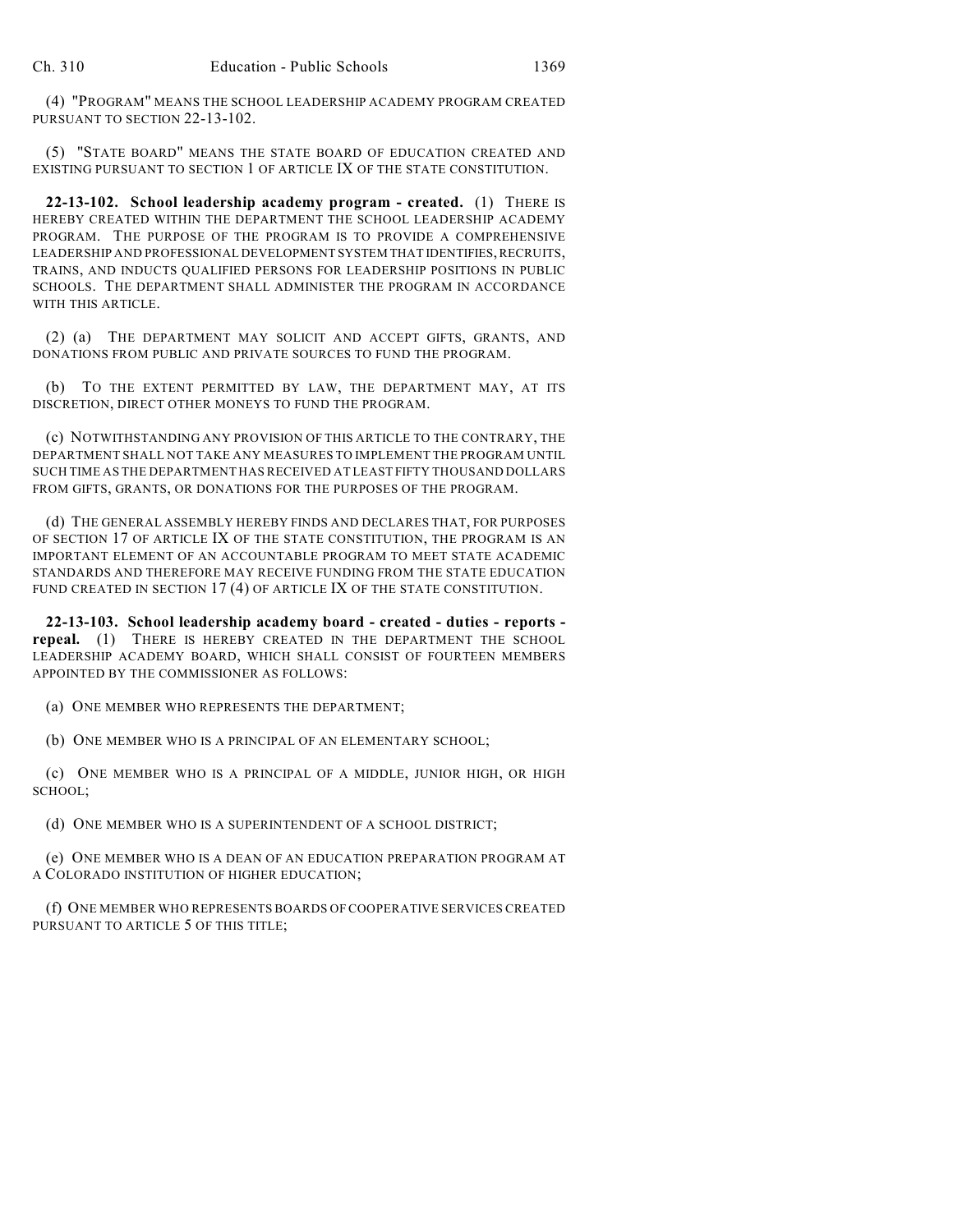(4) "PROGRAM" MEANS THE SCHOOL LEADERSHIP ACADEMY PROGRAM CREATED PURSUANT TO SECTION 22-13-102.

(5) "STATE BOARD" MEANS THE STATE BOARD OF EDUCATION CREATED AND EXISTING PURSUANT TO SECTION 1 OF ARTICLE IX OF THE STATE CONSTITUTION.

**22-13-102. School leadership academy program - created.** (1) THERE IS HEREBY CREATED WITHIN THE DEPARTMENT THE SCHOOL LEADERSHIP ACADEMY PROGRAM. THE PURPOSE OF THE PROGRAM IS TO PROVIDE A COMPREHENSIVE LEADERSHIP AND PROFESSIONAL DEVELOPMENT SYSTEM THAT IDENTIFIES, RECRUITS, TRAINS, AND INDUCTS QUALIFIED PERSONS FOR LEADERSHIP POSITIONS IN PUBLIC SCHOOLS. THE DEPARTMENT SHALL ADMINISTER THE PROGRAM IN ACCORDANCE WITH THIS ARTICLE.

(2) (a) THE DEPARTMENT MAY SOLICIT AND ACCEPT GIFTS, GRANTS, AND DONATIONS FROM PUBLIC AND PRIVATE SOURCES TO FUND THE PROGRAM.

(b) TO THE EXTENT PERMITTED BY LAW, THE DEPARTMENT MAY, AT ITS DISCRETION, DIRECT OTHER MONEYS TO FUND THE PROGRAM.

(c) NOTWITHSTANDING ANY PROVISION OF THIS ARTICLE TO THE CONTRARY, THE DEPARTMENT SHALL NOT TAKE ANY MEASURES TO IMPLEMENT THE PROGRAM UNTIL SUCH TIME AS THE DEPARTMENT HAS RECEIVED AT LEAST FIFTY THOUSAND DOLLARS FROM GIFTS, GRANTS, OR DONATIONS FOR THE PURPOSES OF THE PROGRAM.

(d) THE GENERAL ASSEMBLY HEREBY FINDS AND DECLARES THAT, FOR PURPOSES OF SECTION 17 OF ARTICLE IX OF THE STATE CONSTITUTION, THE PROGRAM IS AN IMPORTANT ELEMENT OF AN ACCOUNTABLE PROGRAM TO MEET STATE ACADEMIC STANDARDS AND THEREFORE MAY RECEIVE FUNDING FROM THE STATE EDUCATION FUND CREATED IN SECTION 17(4) OF ARTICLE IX OF THE STATE CONSTITUTION.

**22-13-103. School leadership academy board - created - duties - reports repeal.** (1) THERE IS HEREBY CREATED IN THE DEPARTMENT THE SCHOOL LEADERSHIP ACADEMY BOARD, WHICH SHALL CONSIST OF FOURTEEN MEMBERS APPOINTED BY THE COMMISSIONER AS FOLLOWS:

(a) ONE MEMBER WHO REPRESENTS THE DEPARTMENT;

(b) ONE MEMBER WHO IS A PRINCIPAL OF AN ELEMENTARY SCHOOL;

(c) ONE MEMBER WHO IS A PRINCIPAL OF A MIDDLE, JUNIOR HIGH, OR HIGH SCHOOL;

(d) ONE MEMBER WHO IS A SUPERINTENDENT OF A SCHOOL DISTRICT;

(e) ONE MEMBER WHO IS A DEAN OF AN EDUCATION PREPARATION PROGRAM AT A COLORADO INSTITUTION OF HIGHER EDUCATION;

(f) ONE MEMBER WHO REPRESENTS BOARDS OF COOPERATIVE SERVICES CREATED PURSUANT TO ARTICLE 5 OF THIS TITLE;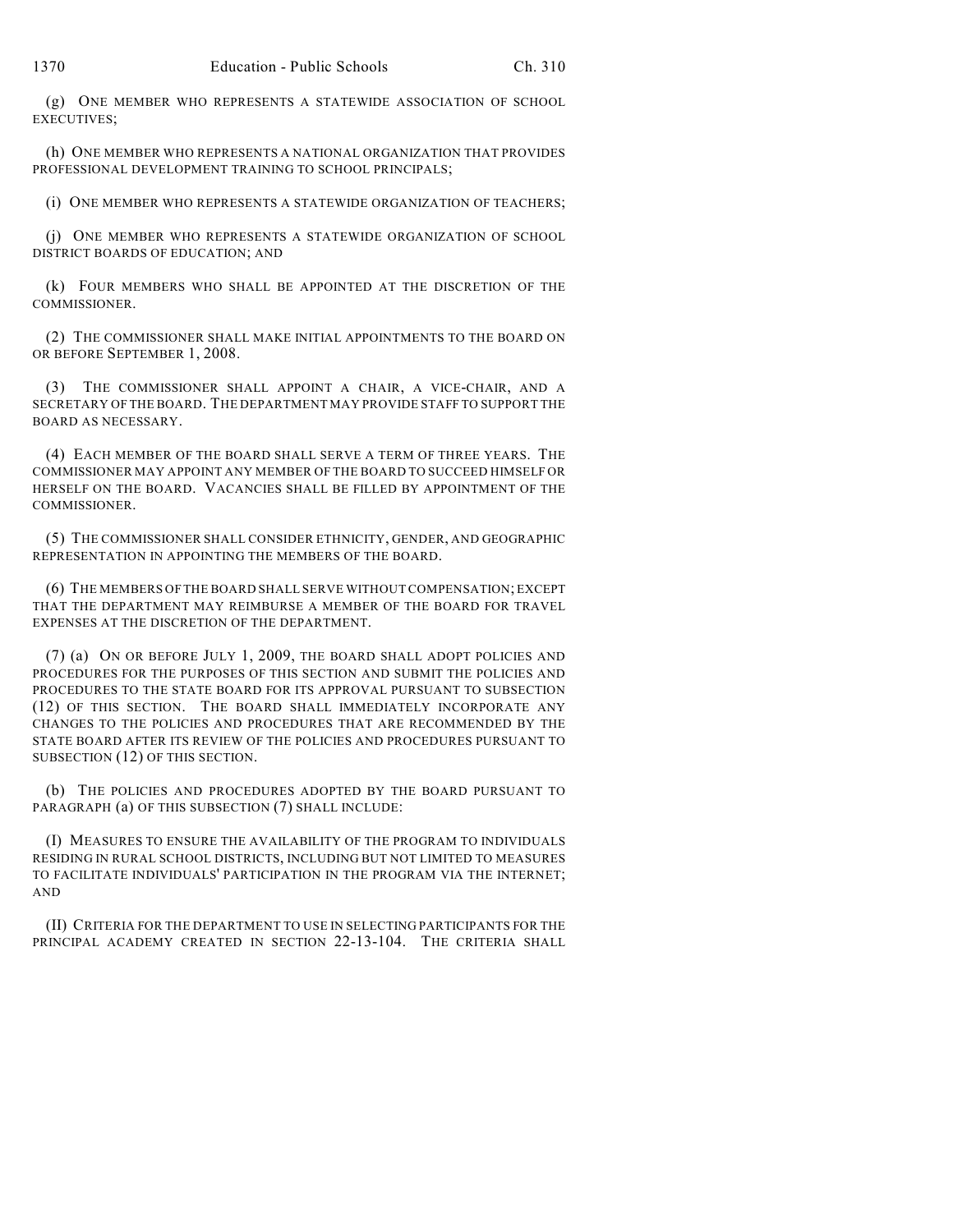(g) ONE MEMBER WHO REPRESENTS A STATEWIDE ASSOCIATION OF SCHOOL EXECUTIVES;

(h) ONE MEMBER WHO REPRESENTS A NATIONAL ORGANIZATION THAT PROVIDES PROFESSIONAL DEVELOPMENT TRAINING TO SCHOOL PRINCIPALS;

(i) ONE MEMBER WHO REPRESENTS A STATEWIDE ORGANIZATION OF TEACHERS;

(j) ONE MEMBER WHO REPRESENTS A STATEWIDE ORGANIZATION OF SCHOOL DISTRICT BOARDS OF EDUCATION; AND

(k) FOUR MEMBERS WHO SHALL BE APPOINTED AT THE DISCRETION OF THE COMMISSIONER.

(2) THE COMMISSIONER SHALL MAKE INITIAL APPOINTMENTS TO THE BOARD ON OR BEFORE SEPTEMBER 1, 2008.

(3) THE COMMISSIONER SHALL APPOINT A CHAIR, A VICE-CHAIR, AND A SECRETARY OF THE BOARD. THE DEPARTMENT MAY PROVIDE STAFF TO SUPPORT THE BOARD AS NECESSARY.

(4) EACH MEMBER OF THE BOARD SHALL SERVE A TERM OF THREE YEARS. THE COMMISSIONER MAY APPOINT ANY MEMBER OF THE BOARD TO SUCCEED HIMSELF OR HERSELF ON THE BOARD. VACANCIES SHALL BE FILLED BY APPOINTMENT OF THE COMMISSIONER.

(5) THE COMMISSIONER SHALL CONSIDER ETHNICITY, GENDER, AND GEOGRAPHIC REPRESENTATION IN APPOINTING THE MEMBERS OF THE BOARD.

(6) THE MEMBERS OF THE BOARD SHALL SERVE WITHOUT COMPENSATION; EXCEPT THAT THE DEPARTMENT MAY REIMBURSE A MEMBER OF THE BOARD FOR TRAVEL EXPENSES AT THE DISCRETION OF THE DEPARTMENT.

(7) (a) ON OR BEFORE JULY 1, 2009, THE BOARD SHALL ADOPT POLICIES AND PROCEDURES FOR THE PURPOSES OF THIS SECTION AND SUBMIT THE POLICIES AND PROCEDURES TO THE STATE BOARD FOR ITS APPROVAL PURSUANT TO SUBSECTION (12) OF THIS SECTION. THE BOARD SHALL IMMEDIATELY INCORPORATE ANY CHANGES TO THE POLICIES AND PROCEDURES THAT ARE RECOMMENDED BY THE STATE BOARD AFTER ITS REVIEW OF THE POLICIES AND PROCEDURES PURSUANT TO SUBSECTION (12) OF THIS SECTION.

(b) THE POLICIES AND PROCEDURES ADOPTED BY THE BOARD PURSUANT TO PARAGRAPH (a) OF THIS SUBSECTION (7) SHALL INCLUDE:

(I) MEASURES TO ENSURE THE AVAILABILITY OF THE PROGRAM TO INDIVIDUALS RESIDING IN RURAL SCHOOL DISTRICTS, INCLUDING BUT NOT LIMITED TO MEASURES TO FACILITATE INDIVIDUALS' PARTICIPATION IN THE PROGRAM VIA THE INTERNET; AND

(II) CRITERIA FOR THE DEPARTMENT TO USE IN SELECTING PARTICIPANTS FOR THE PRINCIPAL ACADEMY CREATED IN SECTION 22-13-104. THE CRITERIA SHALL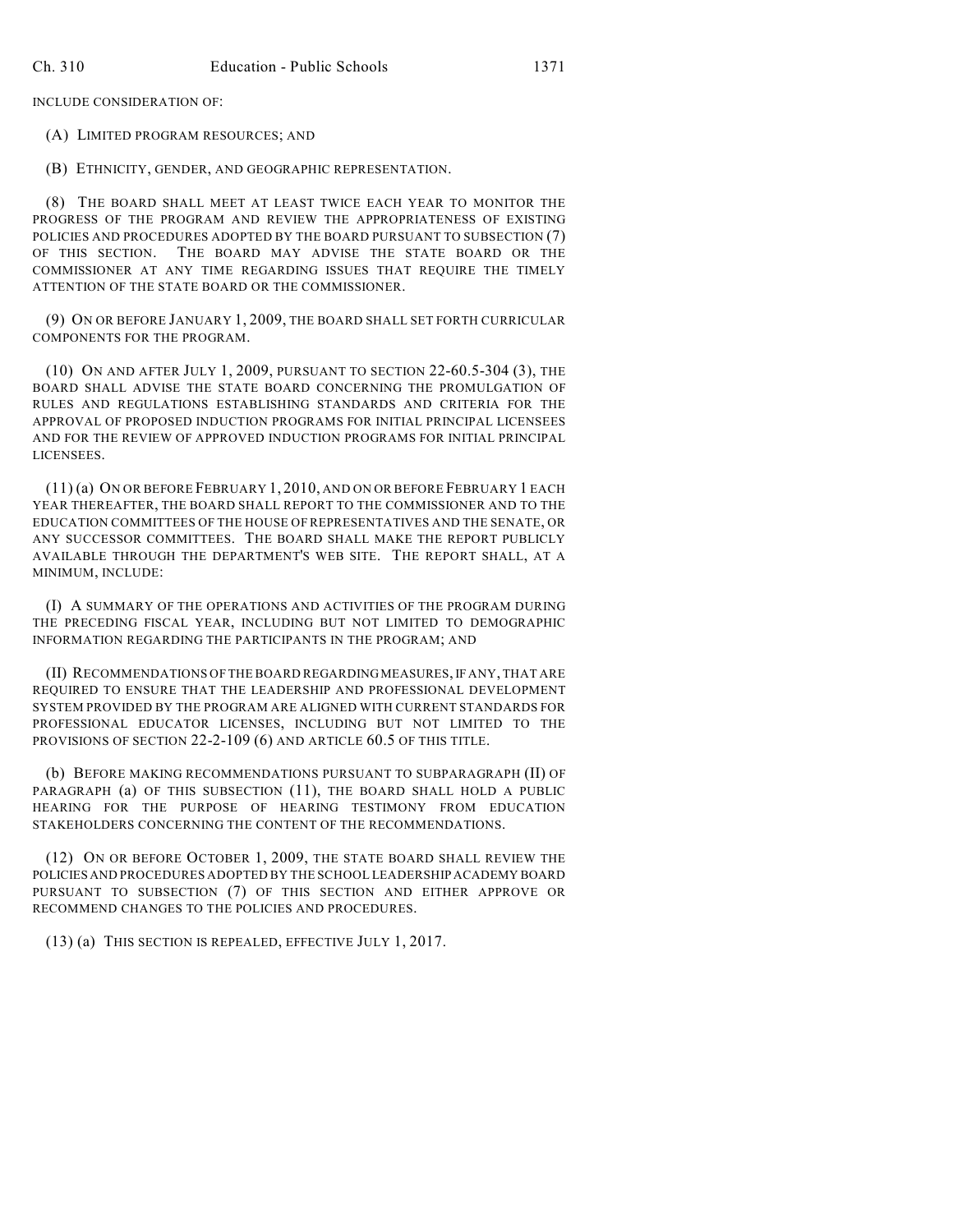INCLUDE CONSIDERATION OF:

(A) LIMITED PROGRAM RESOURCES; AND

(B) ETHNICITY, GENDER, AND GEOGRAPHIC REPRESENTATION.

(8) THE BOARD SHALL MEET AT LEAST TWICE EACH YEAR TO MONITOR THE PROGRESS OF THE PROGRAM AND REVIEW THE APPROPRIATENESS OF EXISTING POLICIES AND PROCEDURES ADOPTED BY THE BOARD PURSUANT TO SUBSECTION (7) OF THIS SECTION. THE BOARD MAY ADVISE THE STATE BOARD OR THE COMMISSIONER AT ANY TIME REGARDING ISSUES THAT REQUIRE THE TIMELY ATTENTION OF THE STATE BOARD OR THE COMMISSIONER.

(9) ON OR BEFORE JANUARY 1, 2009, THE BOARD SHALL SET FORTH CURRICULAR COMPONENTS FOR THE PROGRAM.

(10) ON AND AFTER JULY 1, 2009, PURSUANT TO SECTION 22-60.5-304 (3), THE BOARD SHALL ADVISE THE STATE BOARD CONCERNING THE PROMULGATION OF RULES AND REGULATIONS ESTABLISHING STANDARDS AND CRITERIA FOR THE APPROVAL OF PROPOSED INDUCTION PROGRAMS FOR INITIAL PRINCIPAL LICENSEES AND FOR THE REVIEW OF APPROVED INDUCTION PROGRAMS FOR INITIAL PRINCIPAL LICENSEES.

(11) (a) ON OR BEFORE FEBRUARY 1, 2010, AND ON OR BEFORE FEBRUARY 1 EACH YEAR THEREAFTER, THE BOARD SHALL REPORT TO THE COMMISSIONER AND TO THE EDUCATION COMMITTEES OF THE HOUSE OF REPRESENTATIVES AND THE SENATE, OR ANY SUCCESSOR COMMITTEES. THE BOARD SHALL MAKE THE REPORT PUBLICLY AVAILABLE THROUGH THE DEPARTMENT'S WEB SITE. THE REPORT SHALL, AT A MINIMUM, INCLUDE:

(I) A SUMMARY OF THE OPERATIONS AND ACTIVITIES OF THE PROGRAM DURING THE PRECEDING FISCAL YEAR, INCLUDING BUT NOT LIMITED TO DEMOGRAPHIC INFORMATION REGARDING THE PARTICIPANTS IN THE PROGRAM; AND

(II) RECOMMENDATIONS OF THE BOARD REGARDING MEASURES, IF ANY, THAT ARE REQUIRED TO ENSURE THAT THE LEADERSHIP AND PROFESSIONAL DEVELOPMENT SYSTEM PROVIDED BY THE PROGRAM ARE ALIGNED WITH CURRENT STANDARDS FOR PROFESSIONAL EDUCATOR LICENSES, INCLUDING BUT NOT LIMITED TO THE PROVISIONS OF SECTION 22-2-109 (6) AND ARTICLE 60.5 OF THIS TITLE.

(b) BEFORE MAKING RECOMMENDATIONS PURSUANT TO SUBPARAGRAPH (II) OF PARAGRAPH (a) OF THIS SUBSECTION (11), THE BOARD SHALL HOLD A PUBLIC HEARING FOR THE PURPOSE OF HEARING TESTIMONY FROM EDUCATION STAKEHOLDERS CONCERNING THE CONTENT OF THE RECOMMENDATIONS.

(12) ON OR BEFORE OCTOBER 1, 2009, THE STATE BOARD SHALL REVIEW THE POLICIES AND PROCEDURES ADOPTED BY THE SCHOOL LEADERSHIP ACADEMY BOARD PURSUANT TO SUBSECTION (7) OF THIS SECTION AND EITHER APPROVE OR RECOMMEND CHANGES TO THE POLICIES AND PROCEDURES.

(13) (a) THIS SECTION IS REPEALED, EFFECTIVE JULY 1, 2017.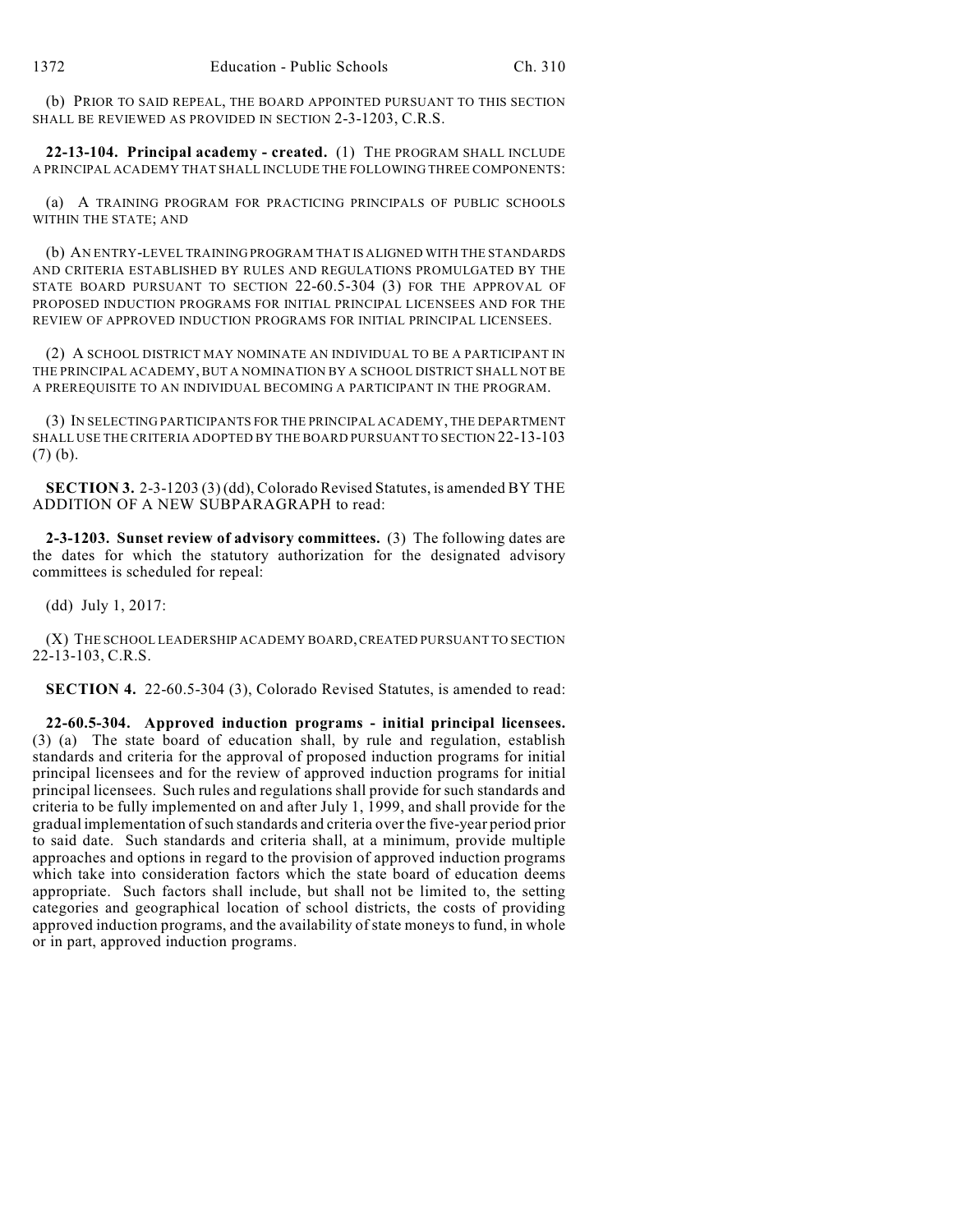(b) PRIOR TO SAID REPEAL, THE BOARD APPOINTED PURSUANT TO THIS SECTION SHALL BE REVIEWED AS PROVIDED IN SECTION 2-3-1203, C.R.S.

**22-13-104. Principal academy - created.** (1) THE PROGRAM SHALL INCLUDE A PRINCIPAL ACADEMY THAT SHALL INCLUDE THE FOLLOWING THREE COMPONENTS:

(a) A TRAINING PROGRAM FOR PRACTICING PRINCIPALS OF PUBLIC SCHOOLS WITHIN THE STATE; AND

(b) AN ENTRY-LEVEL TRAINING PROGRAM THAT IS ALIGNED WITH THE STANDARDS AND CRITERIA ESTABLISHED BY RULES AND REGULATIONS PROMULGATED BY THE STATE BOARD PURSUANT TO SECTION 22-60.5-304 (3) FOR THE APPROVAL OF PROPOSED INDUCTION PROGRAMS FOR INITIAL PRINCIPAL LICENSEES AND FOR THE REVIEW OF APPROVED INDUCTION PROGRAMS FOR INITIAL PRINCIPAL LICENSEES.

(2) A SCHOOL DISTRICT MAY NOMINATE AN INDIVIDUAL TO BE A PARTICIPANT IN THE PRINCIPAL ACADEMY, BUT A NOMINATION BY A SCHOOL DISTRICT SHALL NOT BE A PREREQUISITE TO AN INDIVIDUAL BECOMING A PARTICIPANT IN THE PROGRAM.

(3) IN SELECTING PARTICIPANTS FOR THE PRINCIPAL ACADEMY, THE DEPARTMENT SHALL USE THE CRITERIA ADOPTED BY THE BOARD PURSUANT TO SECTION 22-13-103 (7) (b).

**SECTION 3.** 2-3-1203 (3) (dd), Colorado Revised Statutes, is amended BY THE ADDITION OF A NEW SUBPARAGRAPH to read:

**2-3-1203. Sunset review of advisory committees.** (3) The following dates are the dates for which the statutory authorization for the designated advisory committees is scheduled for repeal:

(dd) July 1, 2017:

(X) THE SCHOOL LEADERSHIP ACADEMY BOARD, CREATED PURSUANT TO SECTION 22-13-103, C.R.S.

**SECTION 4.** 22-60.5-304 (3), Colorado Revised Statutes, is amended to read:

**22-60.5-304. Approved induction programs - initial principal licensees.** (3) (a) The state board of education shall, by rule and regulation, establish standards and criteria for the approval of proposed induction programs for initial principal licensees and for the review of approved induction programs for initial principal licensees. Such rules and regulations shall provide for such standards and criteria to be fully implemented on and after July 1, 1999, and shall provide for the gradual implementation of such standards and criteria over the five-year period prior to said date. Such standards and criteria shall, at a minimum, provide multiple approaches and options in regard to the provision of approved induction programs which take into consideration factors which the state board of education deems appropriate. Such factors shall include, but shall not be limited to, the setting categories and geographical location of school districts, the costs of providing approved induction programs, and the availability of state moneys to fund, in whole or in part, approved induction programs.